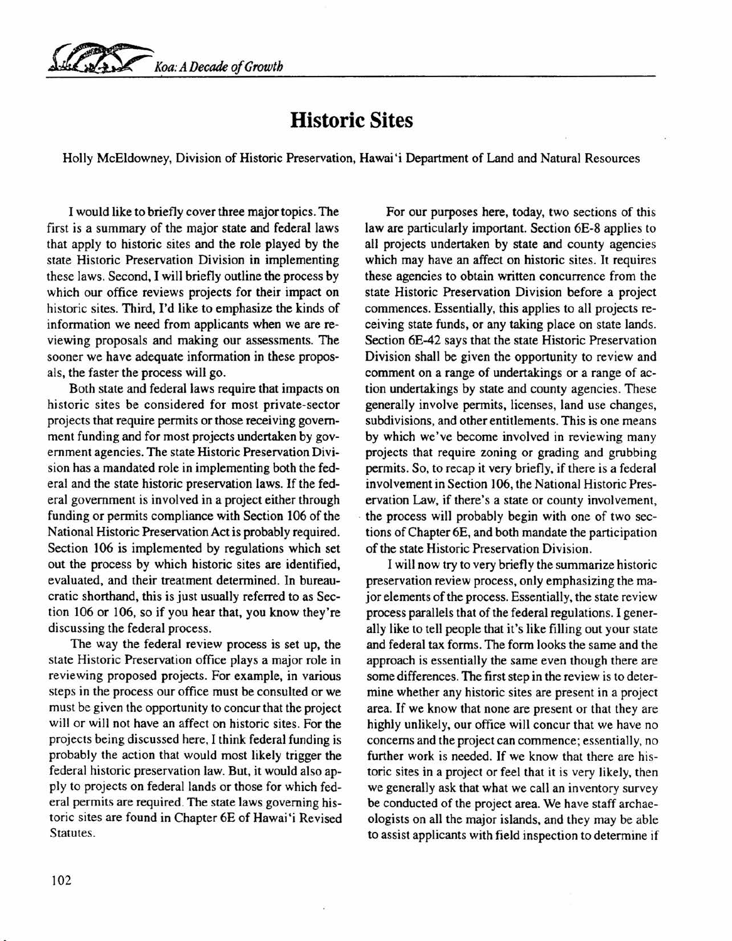*~ Koa: A Decade of Growth*

## **Historic Sites**

Holly McEldowney, Division of Historic Preservation, Hawai'i Department of Land and Natural Resources

I would like to briefly cover three major topics. The first is a summary of the major state and federal laws that apply to historic sites and the role played by the state Historic Preservation Division in implementing these laws. Second, I will briefly outline the process by which our office reviews projects for their impact on historic sites. Third, I'd like to emphasize the kinds of information we need from applicants when we are reviewing proposals and making our assessments. The sooner we have adequate information in these proposals, the faster the process will go.

Both state and federal laws require that impacts on historic sites be considered for most private-sector projects that require permits or those receiving government funding and for most projects undertaken by government agencies. The state Historic Preservation Division has a mandated role in implementing both the federal and the state historic preservation laws. If the federal government is involved in a project either through funding or permits compliance with Section 106 of the National Historic Preservation Act is probably required. Section 106 is implemented by regulations which set out the process by which historic sites are identified, evaluated, and their treatment determined. In bureaucratic shorthand, this is just usually referred to as Section 106 or 106, so if you hear that, you know they're discussing the federal process.

The way the federal review process is set up, the state Historic Preservation office plays a major role in reviewing proposed projects. For example, in various steps in the process our office must be consulted or we must be given the opportunity to concur that the project will or will not have an affect on historic sites. For the projects being discussed here, I think federal funding is probably the action that would most likely trigger the federal historic preservation law. But, it would also apply to projects on federal lands or those for which federal permits are required. The state laws governing historic sites are found in Chapter 6E of Hawai'i Revised Statutes.

For our purposes here, today, two sections of this law are particularly important. Section 6E-8 applies to all projects undertaken by state and county agencies which may have an affect on historic sites. It requires these agencies to obtain written concurrence from the state Historic Preservation Division before a project commences. Essentially, this applies to all projects receiving state funds, or any taking place on state lands. Section 6E-42 says that the state Historic Preservation Division shall be given the opportunity to review and comment on a range of undertakings or a range of action undertakings by state and county agencies. These generally involve permits, licenses, land use changes, subdivisions, and other entitlements. This is one means by which we've become involved in reviewing many projects that require zoning or grading and grubbing permits. So, to recap it very briefly, if there is a federal involvement in Section 106, the National Historic Preservation Law, if there's a state or county involvement, the process will probably begin with one of two sections of Chapter 6E, and both mandate the participation of the state Historic Preservation Division.

I will now try to very briefly the summarize historic preservation review process, only emphasizing the major elements of the process. Essentially, the state review process parallels that of the federal regulations. I generally like to tell people that it's like filling out your state and federal tax forms. The form looks the same and the approach is essentially the same even though there are some differences. The first step in the review is to determine whether any historic sites are present in a project area. If we know that none are present or that they are highly unlikely, our office will concur that we have no concerns and the project can commence; essentially, no further work is needed. If we know that there are historic sites in a project or feel that it is very likely, then we generally ask that what we call an inventory survey be conducted of the project area. We have staff archaeologists on all the major islands, and they may be able to assist applicants with field inspection to determine if